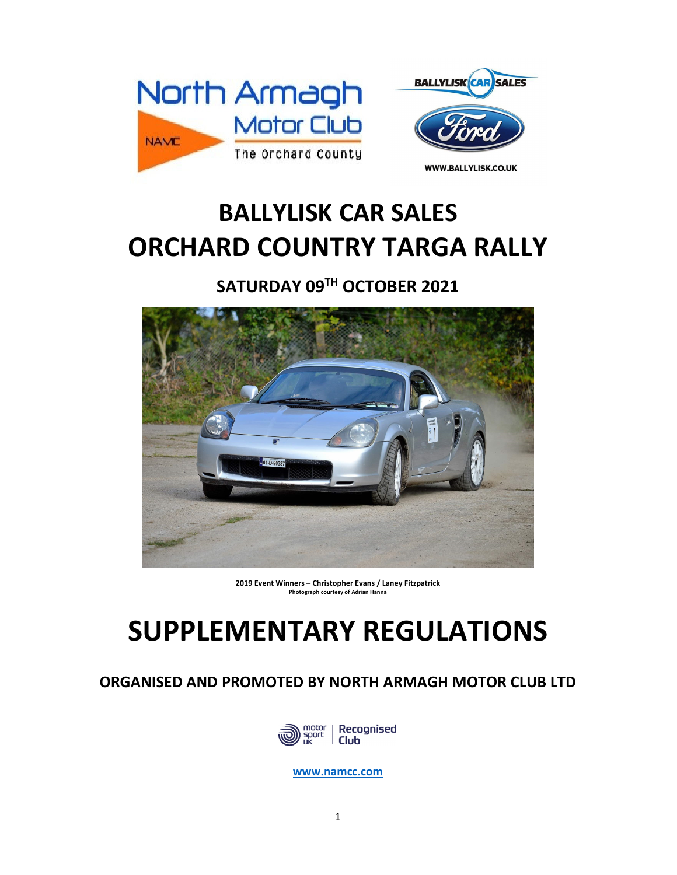



## **BALLYLISK CAR SALES ORCHARD COUNTRY TARGA RALLY**

**SATURDAY 09TH OCTOBER 2021** 



**2019 Event Winners – Christopher Evans / Laney Fitzpatrick Photograph courtesy of Adrian Hanna** 

# **SUPPLEMENTARY REGULATIONS**

### **ORGANISED AND PROMOTED BY NORTH ARMAGH MOTOR CLUB LTD**



**www.namcc.com**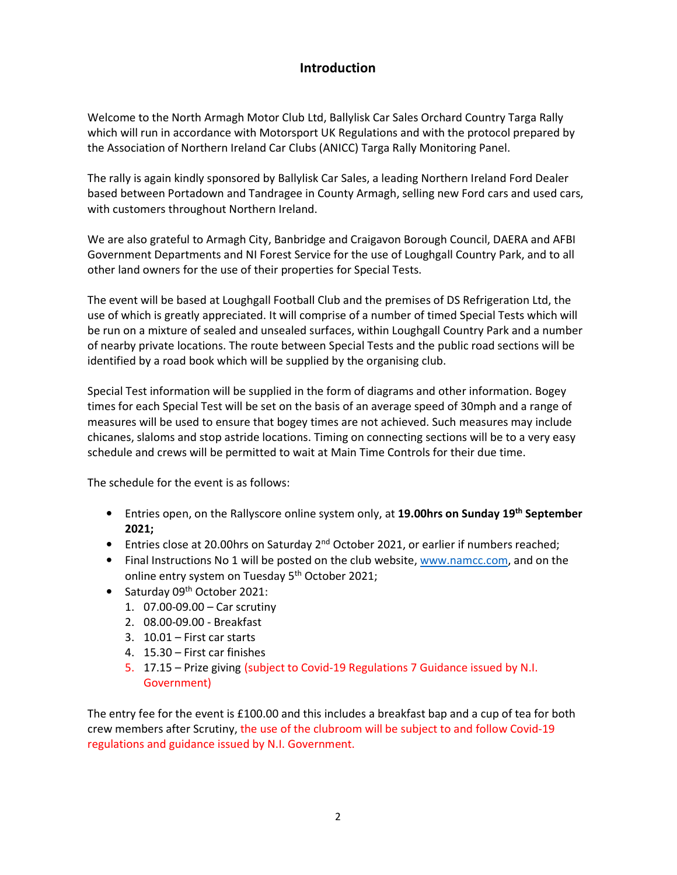### **Introduction**

Welcome to the North Armagh Motor Club Ltd, Ballylisk Car Sales Orchard Country Targa Rally which will run in accordance with Motorsport UK Regulations and with the protocol prepared by the Association of Northern Ireland Car Clubs (ANICC) Targa Rally Monitoring Panel.

The rally is again kindly sponsored by Ballylisk Car Sales, a leading Northern Ireland Ford Dealer based between Portadown and Tandragee in County Armagh, selling new Ford cars and used cars, with customers throughout Northern Ireland.

We are also grateful to Armagh City, Banbridge and Craigavon Borough Council, DAERA and AFBI Government Departments and NI Forest Service for the use of Loughgall Country Park, and to all other land owners for the use of their properties for Special Tests.

The event will be based at Loughgall Football Club and the premises of DS Refrigeration Ltd, the use of which is greatly appreciated. It will comprise of a number of timed Special Tests which will be run on a mixture of sealed and unsealed surfaces, within Loughgall Country Park and a number of nearby private locations. The route between Special Tests and the public road sections will be identified by a road book which will be supplied by the organising club.

Special Test information will be supplied in the form of diagrams and other information. Bogey times for each Special Test will be set on the basis of an average speed of 30mph and a range of measures will be used to ensure that bogey times are not achieved. Such measures may include chicanes, slaloms and stop astride locations. Timing on connecting sections will be to a very easy schedule and crews will be permitted to wait at Main Time Controls for their due time.

The schedule for the event is as follows:

- Entries open, on the Rallyscore online system only, at **19.00hrs on Sunday 19th September 2021;**
- Entries close at 20.00hrs on Saturday 2<sup>nd</sup> October 2021, or earlier if numbers reached;
- Final Instructions No 1 will be posted on the club website, www.namcc.com, and on the online entry system on Tuesday 5<sup>th</sup> October 2021;
- Saturday 09<sup>th</sup> October 2021:
	- 1. 07.00-09.00 Car scrutiny
	- 2. 08.00-09.00 Breakfast
	- 3. 10.01 First car starts
	- 4. 15.30 First car finishes
	- 5. 17.15 Prize giving (subject to Covid-19 Regulations 7 Guidance issued by N.I. Government)

The entry fee for the event is £100.00 and this includes a breakfast bap and a cup of tea for both crew members after Scrutiny, the use of the clubroom will be subject to and follow Covid-19 regulations and guidance issued by N.I. Government.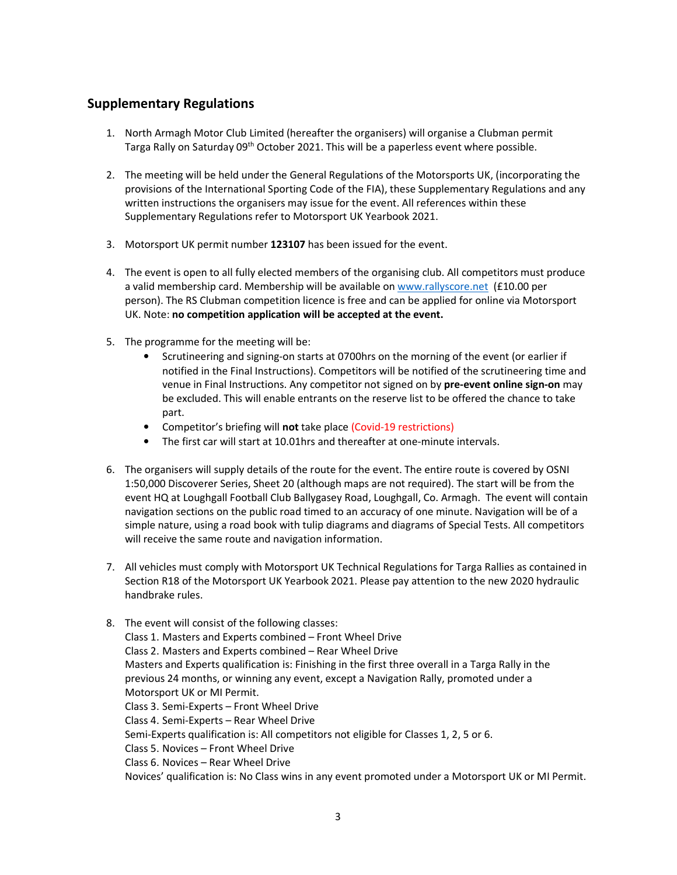#### **Supplementary Regulations**

- 1. North Armagh Motor Club Limited (hereafter the organisers) will organise a Clubman permit Targa Rally on Saturday 09<sup>th</sup> October 2021. This will be a paperless event where possible.
- 2. The meeting will be held under the General Regulations of the Motorsports UK, (incorporating the provisions of the International Sporting Code of the FIA), these Supplementary Regulations and any written instructions the organisers may issue for the event. All references within these Supplementary Regulations refer to Motorsport UK Yearbook 2021.
- 3. Motorsport UK permit number **123107** has been issued for the event.
- 4. The event is open to all fully elected members of the organising club. All competitors must produce a valid membership card. Membership will be available on www.rallyscore.net (£10.00 per person). The RS Clubman competition licence is free and can be applied for online via Motorsport UK. Note: **no competition application will be accepted at the event.**
- 5. The programme for the meeting will be:
	- Scrutineering and signing-on starts at 0700hrs on the morning of the event (or earlier if notified in the Final Instructions). Competitors will be notified of the scrutineering time and venue in Final Instructions. Any competitor not signed on by **pre-event online sign-on** may be excluded. This will enable entrants on the reserve list to be offered the chance to take part.
	- Competitor's briefing will **not** take place (Covid-19 restrictions)
	- The first car will start at 10.01hrs and thereafter at one-minute intervals.
- 6. The organisers will supply details of the route for the event. The entire route is covered by OSNI 1:50,000 Discoverer Series, Sheet 20 (although maps are not required). The start will be from the event HQ at Loughgall Football Club Ballygasey Road, Loughgall, Co. Armagh. The event will contain navigation sections on the public road timed to an accuracy of one minute. Navigation will be of a simple nature, using a road book with tulip diagrams and diagrams of Special Tests. All competitors will receive the same route and navigation information.
- 7. All vehicles must comply with Motorsport UK Technical Regulations for Targa Rallies as contained in Section R18 of the Motorsport UK Yearbook 2021. Please pay attention to the new 2020 hydraulic handbrake rules.

8. The event will consist of the following classes: Class 1. Masters and Experts combined – Front Wheel Drive Class 2. Masters and Experts combined – Rear Wheel Drive Masters and Experts qualification is: Finishing in the first three overall in a Targa Rally in the previous 24 months, or winning any event, except a Navigation Rally, promoted under a Motorsport UK or MI Permit. Class 3. Semi-Experts – Front Wheel Drive Class 4. Semi-Experts – Rear Wheel Drive Semi-Experts qualification is: All competitors not eligible for Classes 1, 2, 5 or 6. Class 5. Novices – Front Wheel Drive Class 6. Novices – Rear Wheel Drive Novices' qualification is: No Class wins in any event promoted under a Motorsport UK or MI Permit.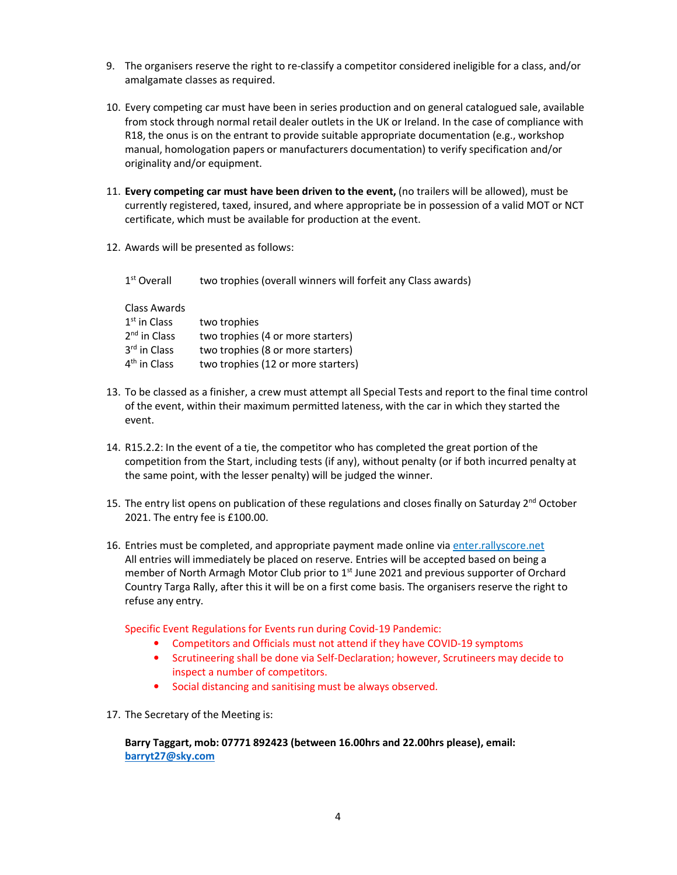- 9. The organisers reserve the right to re-classify a competitor considered ineligible for a class, and/or amalgamate classes as required.
- 10. Every competing car must have been in series production and on general catalogued sale, available from stock through normal retail dealer outlets in the UK or Ireland. In the case of compliance with R18, the onus is on the entrant to provide suitable appropriate documentation (e.g., workshop manual, homologation papers or manufacturers documentation) to verify specification and/or originality and/or equipment.
- 11. **Every competing car must have been driven to the event,** (no trailers will be allowed), must be currently registered, taxed, insured, and where appropriate be in possession of a valid MOT or NCT certificate, which must be available for production at the event.
- 12. Awards will be presented as follows:

| 1 <sup>st</sup> Overall                          | two trophies (overall winners will forfeit any Class awards)           |
|--------------------------------------------------|------------------------------------------------------------------------|
| Class Awards<br>$1st$ in Class<br>$2nd$ in Class | two trophies                                                           |
| 3 <sup>rd</sup> in Class                         | two trophies (4 or more starters)<br>two trophies (8 or more starters) |
| 4 <sup>th</sup> in Class                         | two trophies (12 or more starters)                                     |

- 13. To be classed as a finisher, a crew must attempt all Special Tests and report to the final time control of the event, within their maximum permitted lateness, with the car in which they started the event.
- 14. R15.2.2: In the event of a tie, the competitor who has completed the great portion of the competition from the Start, including tests (if any), without penalty (or if both incurred penalty at the same point, with the lesser penalty) will be judged the winner.
- 15. The entry list opens on publication of these regulations and closes finally on Saturday  $2^{nd}$  October 2021. The entry fee is £100.00.
- 16. Entries must be completed, and appropriate payment made online via enter.rallyscore.net All entries will immediately be placed on reserve. Entries will be accepted based on being a member of North Armagh Motor Club prior to 1<sup>st</sup> June 2021 and previous supporter of Orchard Country Targa Rally, after this it will be on a first come basis. The organisers reserve the right to refuse any entry.

Specific Event Regulations for Events run during Covid-19 Pandemic:

- Competitors and Officials must not attend if they have COVID-19 symptoms
- Scrutineering shall be done via Self-Declaration; however, Scrutineers may decide to inspect a number of competitors.
- Social distancing and sanitising must be always observed.
- 17. The Secretary of the Meeting is:

**Barry Taggart, mob: 07771 892423 (between 16.00hrs and 22.00hrs please), email: barryt27@sky.com**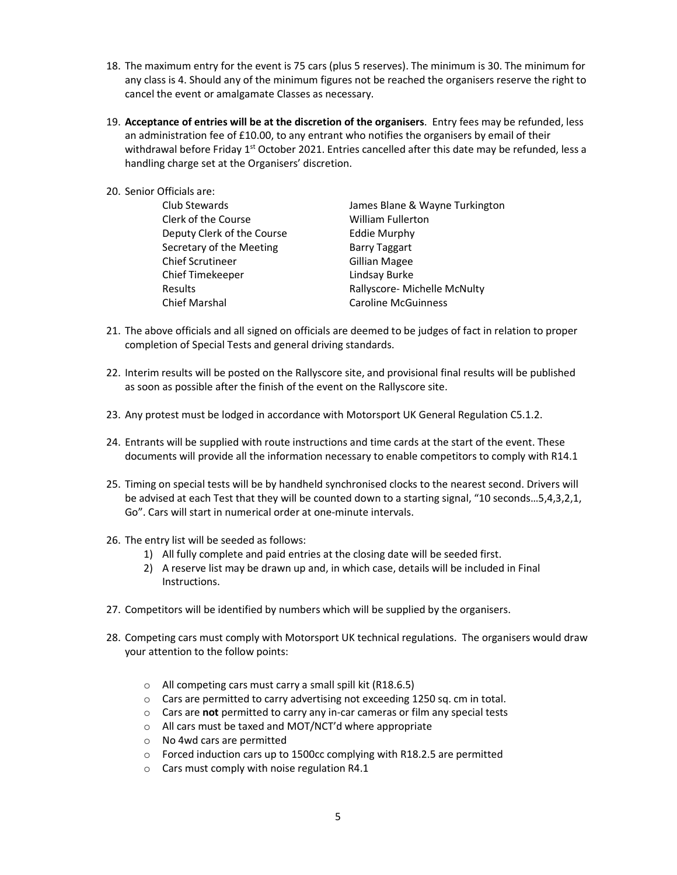- 18. The maximum entry for the event is 75 cars (plus 5 reserves). The minimum is 30. The minimum for any class is 4. Should any of the minimum figures not be reached the organisers reserve the right to cancel the event or amalgamate Classes as necessary.
- 19. **Acceptance of entries will be at the discretion of the organisers**. Entry fees may be refunded, less an administration fee of £10.00, to any entrant who notifies the organisers by email of their withdrawal before Friday  $1<sup>st</sup>$  October 2021. Entries cancelled after this date may be refunded, less a handling charge set at the Organisers' discretion.
- 20. Senior Officials are: Club Stewards James Blane & Wayne Turkington Clerk of the Course William Fullerton Deputy Clerk of the Course Eddie Murphy Secretary of the Meeting **Barry Taggart** Chief Scrutineer Gillian Magee

Chief Timekeeper Lindsay Burke Results **Rallyscore- Michelle McNulty** Chief Marshal Caroline McGuinness

- 21. The above officials and all signed on officials are deemed to be judges of fact in relation to proper completion of Special Tests and general driving standards.
- 22. Interim results will be posted on the Rallyscore site, and provisional final results will be published as soon as possible after the finish of the event on the Rallyscore site.
- 23. Any protest must be lodged in accordance with Motorsport UK General Regulation C5.1.2.
- 24. Entrants will be supplied with route instructions and time cards at the start of the event. These documents will provide all the information necessary to enable competitors to comply with R14.1
- 25. Timing on special tests will be by handheld synchronised clocks to the nearest second. Drivers will be advised at each Test that they will be counted down to a starting signal, "10 seconds…5,4,3,2,1, Go". Cars will start in numerical order at one-minute intervals.
- 26. The entry list will be seeded as follows:
	- 1) All fully complete and paid entries at the closing date will be seeded first.
	- 2) A reserve list may be drawn up and, in which case, details will be included in Final Instructions.
- 27. Competitors will be identified by numbers which will be supplied by the organisers.
- 28. Competing cars must comply with Motorsport UK technical regulations. The organisers would draw your attention to the follow points:
	- o All competing cars must carry a small spill kit (R18.6.5)
	- o Cars are permitted to carry advertising not exceeding 1250 sq. cm in total.
	- o Cars are **not** permitted to carry any in-car cameras or film any special tests
	- o All cars must be taxed and MOT/NCT'd where appropriate
	- o No 4wd cars are permitted
	- $\circ$  Forced induction cars up to 1500cc complying with R18.2.5 are permitted
	- $\circ$  Cars must comply with noise regulation R4.1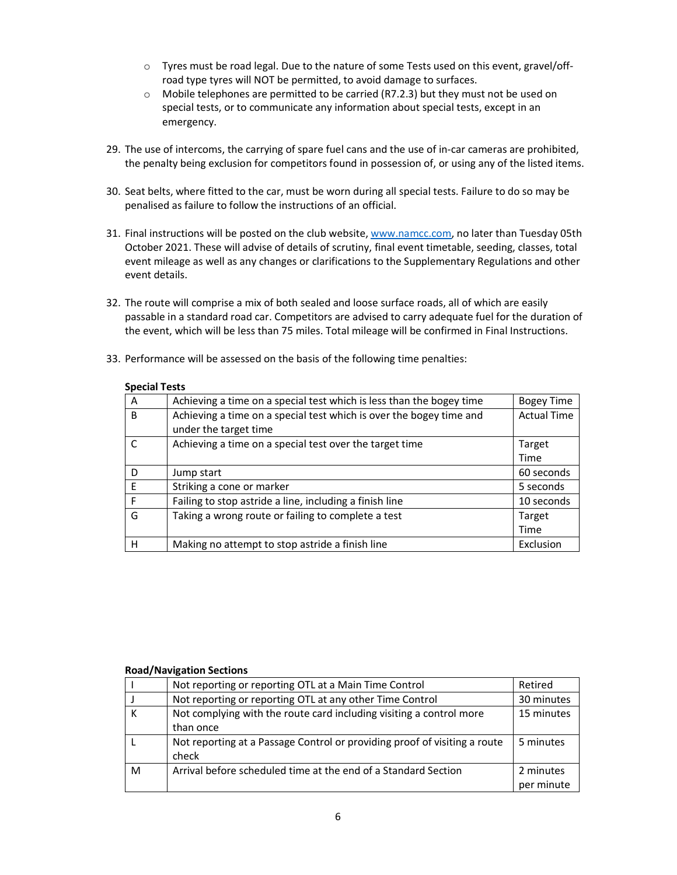- $\circ$  Tyres must be road legal. Due to the nature of some Tests used on this event, gravel/offroad type tyres will NOT be permitted, to avoid damage to surfaces.
- $\circ$  Mobile telephones are permitted to be carried (R7.2.3) but they must not be used on special tests, or to communicate any information about special tests, except in an emergency.
- 29. The use of intercoms, the carrying of spare fuel cans and the use of in-car cameras are prohibited, the penalty being exclusion for competitors found in possession of, or using any of the listed items.
- 30. Seat belts, where fitted to the car, must be worn during all special tests. Failure to do so may be penalised as failure to follow the instructions of an official.
- 31. Final instructions will be posted on the club website, www.namcc.com, no later than Tuesday 05th October 2021. These will advise of details of scrutiny, final event timetable, seeding, classes, total event mileage as well as any changes or clarifications to the Supplementary Regulations and other event details.
- 32. The route will comprise a mix of both sealed and loose surface roads, all of which are easily passable in a standard road car. Competitors are advised to carry adequate fuel for the duration of the event, which will be less than 75 miles. Total mileage will be confirmed in Final Instructions.
- 33. Performance will be assessed on the basis of the following time penalties:

| <b>Special Tests</b> |  |
|----------------------|--|
|                      |  |

| A            | Achieving a time on a special test which is less than the bogey time                         | <b>Bogey Time</b>  |
|--------------|----------------------------------------------------------------------------------------------|--------------------|
| B            | Achieving a time on a special test which is over the bogey time and<br>under the target time | <b>Actual Time</b> |
| $\mathsf{C}$ | Achieving a time on a special test over the target time                                      | Target             |
|              |                                                                                              | <b>Time</b>        |
| D            | Jump start                                                                                   | 60 seconds         |
| E            | Striking a cone or marker                                                                    | 5 seconds          |
| F            | Failing to stop astride a line, including a finish line                                      | 10 seconds         |
| G            | Taking a wrong route or failing to complete a test                                           | Target             |
|              |                                                                                              | <b>Time</b>        |
| н            | Making no attempt to stop astride a finish line                                              | Exclusion          |

#### **Road/Navigation Sections**

|   | Not reporting or reporting OTL at a Main Time Control                              | Retired                 |
|---|------------------------------------------------------------------------------------|-------------------------|
|   | Not reporting or reporting OTL at any other Time Control                           | 30 minutes              |
| к | Not complying with the route card including visiting a control more<br>than once   | 15 minutes              |
|   | Not reporting at a Passage Control or providing proof of visiting a route<br>check | 5 minutes               |
| м | Arrival before scheduled time at the end of a Standard Section                     | 2 minutes<br>per minute |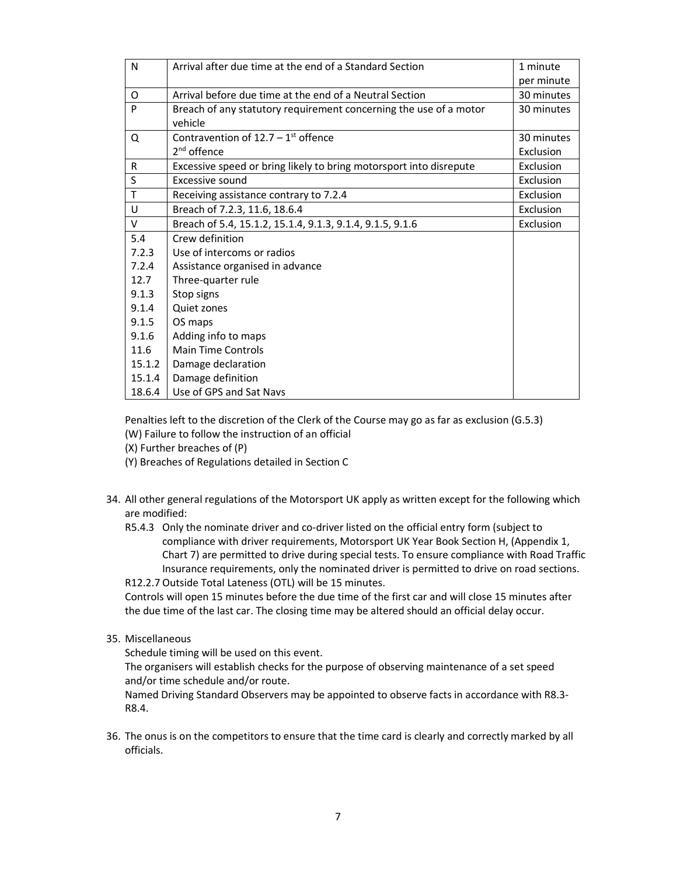| N      | Arrival after due time at the end of a Standard Section            | 1 minute   |
|--------|--------------------------------------------------------------------|------------|
|        |                                                                    | per minute |
| O      | Arrival before due time at the end of a Neutral Section            | 30 minutes |
| P      | Breach of any statutory requirement concerning the use of a motor  | 30 minutes |
|        | vehicle                                                            |            |
| Q      | Contravention of $12.7 - 1$ <sup>st</sup> offence                  | 30 minutes |
|        | 2 <sup>nd</sup> offence                                            | Exclusion  |
| R      | Excessive speed or bring likely to bring motorsport into disrepute | Exclusion  |
| S      | Excessive sound                                                    | Exclusion  |
| T      | Receiving assistance contrary to 7.2.4                             | Exclusion  |
| U      | Breach of 7.2.3, 11.6, 18.6.4                                      | Exclusion  |
| V      | Breach of 5.4, 15.1.2, 15.1.4, 9.1.3, 9.1.4, 9.1.5, 9.1.6          | Exclusion  |
| 5.4    | Crew definition                                                    |            |
| 7.2.3  | Use of intercoms or radios                                         |            |
| 7.2.4  | Assistance organised in advance                                    |            |
| 12.7   | Three-quarter rule                                                 |            |
| 9.1.3  | Stop signs                                                         |            |
| 9.1.4  | Quiet zones                                                        |            |
| 9.1.5  | OS maps                                                            |            |
| 9.1.6  | Adding info to maps                                                |            |
| 11.6   | <b>Main Time Controls</b>                                          |            |
| 15.1.2 | Damage declaration                                                 |            |
| 15.1.4 | Damage definition                                                  |            |
| 18.6.4 | Use of GPS and Sat Navs                                            |            |

Penalties left to the discretion of the Clerk of the Course may go as far as exclusion (G.5.3) (W) Failure to follow the instruction of an official

- (X) Further breaches of (P)
- (Y) Breaches of Regulations detailed in Section C
- 34. All other general regulations of the Motorsport UK apply as written except for the following which are modified:
	- R5.4.3 Only the nominate driver and co-driver listed on the official entry form (subject to compliance with driver requirements, Motorsport UK Year Book Section H, (Appendix 1, Chart 7) are permitted to drive during special tests. To ensure compliance with Road Traffic Insurance requirements, only the nominated driver is permitted to drive on road sections.

R12.2.7 Outside Total Lateness (OTL) will be 15 minutes.

Controls will open 15 minutes before the due time of the first car and will close 15 minutes after the due time of the last car. The closing time may be altered should an official delay occur.

35. Miscellaneous

Schedule timing will be used on this event.

The organisers will establish checks for the purpose of observing maintenance of a set speed and/or time schedule and/or route.

Named Driving Standard Observers may be appointed to observe facts in accordance with R8.3- R8.4.

36. The onus is on the competitors to ensure that the time card is clearly and correctly marked by all officials.